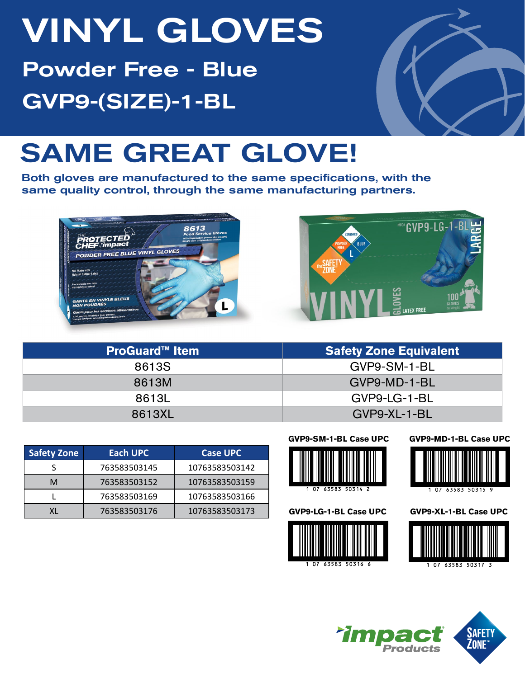# VINYL GLOVES Powder Free - Blue GVP9-(SIZE)-1-BL



# SAME GREAT GLOVE!

Both gloves are manufactured to the same specifications, with the same quality control, through the same manufacturing partners.





| <b>ProGuard™ Item</b> | <b>Safety Zone Equivalent</b> |
|-----------------------|-------------------------------|
| 8613S                 | GVP9-SM-1-BL                  |
| 8613M                 | GVP9-MD-1-BL                  |
| 8613L                 | GVP9-LG-1-BL                  |
| 8613XL                | GVP9-XL-1-BL                  |

| <b>Safety Zone</b> | Each UPC     | <b>Case UPC</b> |
|--------------------|--------------|-----------------|
|                    | 763583503145 | 10763583503142  |
| М                  | 763583503152 | 10763583503159  |
|                    | 763583503169 | 10763583503166  |
|                    | 763583503176 | 10763583503173  |

### **GVP9-SM-1-BL Case UPC**



### **GVP9-LG-1-BL Case UPC**



### **GVP9-MD-1-BL Case UPC**



**GVP9-XL-1-BL Case UPC**